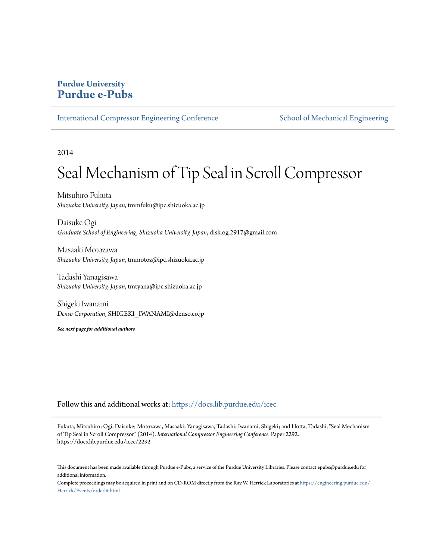## **Purdue University [Purdue e-Pubs](https://docs.lib.purdue.edu?utm_source=docs.lib.purdue.edu%2Ficec%2F2292&utm_medium=PDF&utm_campaign=PDFCoverPages)**

[International Compressor Engineering Conference](https://docs.lib.purdue.edu/icec?utm_source=docs.lib.purdue.edu%2Ficec%2F2292&utm_medium=PDF&utm_campaign=PDFCoverPages) [School of Mechanical Engineering](https://docs.lib.purdue.edu/me?utm_source=docs.lib.purdue.edu%2Ficec%2F2292&utm_medium=PDF&utm_campaign=PDFCoverPages)

2014

# Seal Mechanism of Tip Seal in Scroll Compressor

Mitsuhiro Fukuta *Shizuoka University, Japan*, tmmfuku@ipc.shizuoka.ac.jp

Daisuke Ogi *Graduate School of Engineering, Shizuoka University, Japan*, disk.og.2917@gmail.com

Masaaki Motozawa *Shizuoka University, Japan*, tmmotoz@ipc.shizuoka.ac.jp

Tadashi Yanagisawa *Shizuoka University, Japan*, tmtyana@ipc.shizuoka.ac.jp

Shigeki Iwanami *Denso Corporation*, SHIGEKI\_IWANAMI@denso.co.jp

*See next page for additional authors*

Follow this and additional works at: [https://docs.lib.purdue.edu/icec](https://docs.lib.purdue.edu/icec?utm_source=docs.lib.purdue.edu%2Ficec%2F2292&utm_medium=PDF&utm_campaign=PDFCoverPages)

Fukuta, Mitsuhiro; Ogi, Daisuke; Motozawa, Masaaki; Yanagisawa, Tadashi; Iwanami, Shigeki; and Hotta, Tadashi, "Seal Mechanism of Tip Seal in Scroll Compressor" (2014). *International Compressor Engineering Conference.* Paper 2292. https://docs.lib.purdue.edu/icec/2292

This document has been made available through Purdue e-Pubs, a service of the Purdue University Libraries. Please contact epubs@purdue.edu for additional information.

Complete proceedings may be acquired in print and on CD-ROM directly from the Ray W. Herrick Laboratories at [https://engineering.purdue.edu/](https://engineering.purdue.edu/Herrick/Events/orderlit.html) [Herrick/Events/orderlit.html](https://engineering.purdue.edu/Herrick/Events/orderlit.html)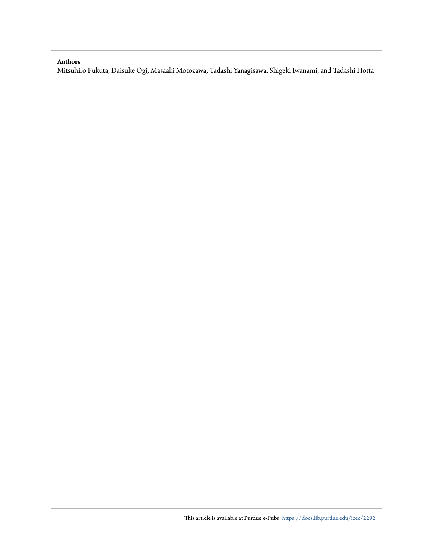## **Authors**

Mitsuhiro Fukuta, Daisuke Ogi, Masaaki Motozawa, Tadashi Yanagisawa, Shigeki Iwanami, and Tadashi Hotta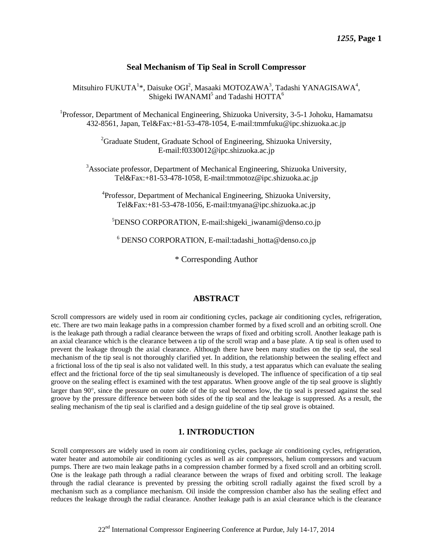## **Seal Mechanism of Tip Seal in Scroll Compressor**

Mitsuhiro FUKUTA<sup>1\*</sup>, Daisuke OGI<sup>2</sup>, Masaaki MOTOZAWA<sup>3</sup>, Tadashi YANAGISAWA<sup>4</sup>, Shigeki IWANAMI<sup>5</sup> and Tadashi HOTTA<sup>6</sup>

<sup>1</sup>Professor, Department of Mechanical Engineering, Shizuoka University, 3-5-1 Johoku, Hamamatsu 432-8561, Japan, Tel&Fax:+81-53-478-1054, E-mail:tmmfuku@ipc.shizuoka.ac.jp

> <sup>2</sup>Graduate Student, Graduate School of Engineering, Shizuoka University, E-mail:f0330012@ipc.shizuoka.ac.jp

<sup>3</sup>Associate professor, Department of Mechanical Engineering, Shizuoka University, [Tel&Fax:+81-53-478-1](Tel:+81-53-478-)058, E-mail:tmmotoz@ipc.shizuoka.ac.jp

<sup>4</sup>Professor, Department of Mechanical Engineering, Shizuoka University, [Tel&Fax:+81-53-478-1](Tel:+81-53-478-)056, E-mail:tmyana@ipc.shizuoka.ac.jp

 ${}^{5}$ DENSO CORPORATION, E-mail:shigeki iwanami@denso.co.jp

 $6$  DENSO CORPORATION, E-mail:tadashi\_hotta@denso.co.jp

\* Corresponding Author

## **ABSTRACT**

Scroll compressors are widely used in room air conditioning cycles, package air conditioning cycles, refrigeration, etc. There are two main leakage paths in a compression chamber formed by a fixed scroll and an orbiting scroll. One is the leakage path through a radial clearance between the wraps of fixed and orbiting scroll. Another leakage path is an axial clearance which is the clearance between a tip of the scroll wrap and a base plate. A tip seal is often used to prevent the leakage through the axial clearance. Although there have been many studies on the tip seal, the seal mechanism of the tip seal is not thoroughly clarified yet. In addition, the relationship between the sealing effect and a frictional loss of the tip seal is also not validated well. In this study, a test apparatus which can evaluate the sealing effect and the frictional force of the tip seal simultaneously is developed. The influence of specification of a tip seal groove on the sealing effect is examined with the test apparatus. When groove angle of the tip seal groove is slightly larger than  $90^{\circ}$ , since the pressure on outer side of the tip seal becomes low, the tip seal is pressed against the seal groove by the pressure difference between both sides of the tip seal and the leakage is suppressed. As a result, the sealing mechanism of the tip seal is clarified and a design guideline of the tip seal grove is obtained.

## **1. INTRODUCTION**

Scroll compressors are widely used in room air conditioning cycles, package air conditioning cycles, refrigeration, water heater and automobile air conditioning cycles as well as air compressors, helium compressors and vacuum pumps. There are two main leakage paths in a compression chamber formed by a fixed scroll and an orbiting scroll. One is the leakage path through a radial clearance between the wraps of fixed and orbiting scroll. The leakage through the radial clearance is prevented by pressing the orbiting scroll radially against the fixed scroll by a mechanism such as a compliance mechanism. Oil inside the compression chamber also has the sealing effect and reduces the leakage through the radial clearance. Another leakage path is an axial clearance which is the clearance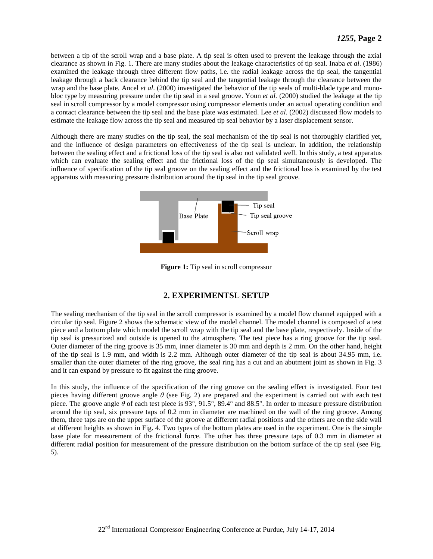between a tip of the scroll wrap and a base plate. A tip seal is often used to prevent the leakage through the axial clearance as shown in Fig. 1. There are many studies about the leakage characteristics of tip seal. Inaba *et al*. (1986) examined the leakage through three different flow paths, i.e. the radial leakage across the tip seal, the tangential leakage through a back clearance behind the tip seal and the tangential leakage through the clearance between the wrap and the base plate. Ancel *et al*. (2000) investigated the behavior of the tip seals of multi-blade type and monobloc type by measuring pressure under the tip seal in a seal groove. Youn *et al.* (2000) studied the leakage at the tip seal in scroll compressor by a model compressor using compressor elements under an actual operating condition and a contact clearance between the tip seal and the base plate was estimated. Lee *et al.* (2002) discussed flow models to estimate the leakage flow across the tip seal and measured tip seal behavior by a laser displacement sensor.

Although there are many studies on the tip seal, the seal mechanism of the tip seal is not thoroughly clarified yet, and the influence of design parameters on effectiveness of the tip seal is unclear. In addition, the relationship between the sealing effect and a frictional loss of the tip seal is also not validated well. In this study, a test apparatus which can evaluate the sealing effect and the frictional loss of the tip seal simultaneously is developed. The influence of specification of the tip seal groove on the sealing effect and the frictional loss is examined by the test apparatus with measuring pressure distribution around the tip seal in the tip seal groove.



**Figure 1:** Tip seal in scroll compressor

## **2. EXPERIMENTSL SETUP**

The sealing mechanism of the tip seal in the scroll compressor is examined by a model flow channel equipped with a circular tip seal. Figure 2 shows the schematic view of the model channel. The model channel is composed of a test piece and a bottom plate which model the scroll wrap with the tip seal and the base plate, respectively. Inside of the tip seal is pressurized and outside is opened to the atmosphere. The test piece has a ring groove for the tip seal. Outer diameter of the ring groove is 35 mm, inner diameter is 30 mm and depth is 2 mm. On the other hand, height of the tip seal is 1.9 mm, and width is 2.2 mm. Although outer diameter of the tip seal is about 34.95 mm, i.e. smaller than the outer diameter of the ring groove, the seal ring has a cut and an abutment joint as shown in Fig. 3 and it can expand by pressure to fit against the ring groove.

In this study, the influence of the specification of the ring groove on the sealing effect is investigated. Four test pieces having different groove angle *θ* (see Fig. 2) are prepared and the experiment is carried out with each test piece. The groove angle θ of each test piece is 93°, 91.5°, 89.4° and 88.5°. In order to measure pressure distribution around the tip seal, six pressure taps of 0.2 mm in diameter are machined on the wall of the ring groove. Among them, three taps are on the upper surface of the groove at different radial positions and the others are on the side wall at different heights as shown in Fig. 4. Two types of the bottom plates are used in the experiment. One is the simple base plate for measurement of the frictional force. The other has three pressure taps of 0.3 mm in diameter at different radial position for measurement of the pressure distribution on the bottom surface of the tip seal (see Fig. 5).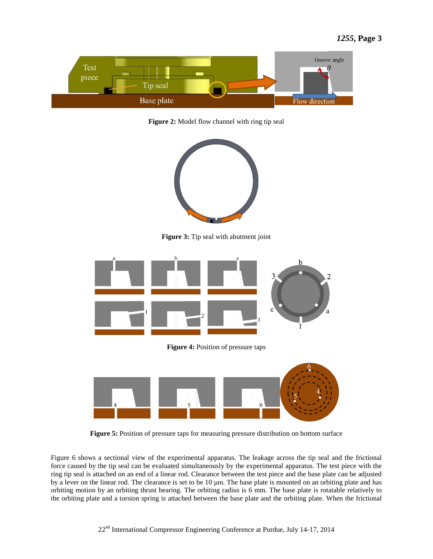

**Figure 2:** Model flow channel with ring tip seal



**Figure 3:** Tip seal with abutment joint



**Figure 4:** Position of pressure taps



**Figure 5:** Position of pressure taps for measuring pressure distribution on bottom surface

Figure 6 shows a sectional view of the experimental apparatus. The leakage across the tip seal and the frictional force caused by the tip seal can be evaluated simultaneously by the experimental apparatus. The test piece with the ring tip seal is attached on an end of a linear rod. Clearance between the test piece and the base plate can be adjusted by a lever on the linear rod. The clearance is set to be 10 μm. The base plate is mounted on an orbiting plate and has orbiting motion by an orbiting thrust bearing. The orbiting radius is 6 mm. The base plate is rotatable relatively to the orbiting plate and a torsion spring is attached between the base plate and the orbiting plate. When the frictional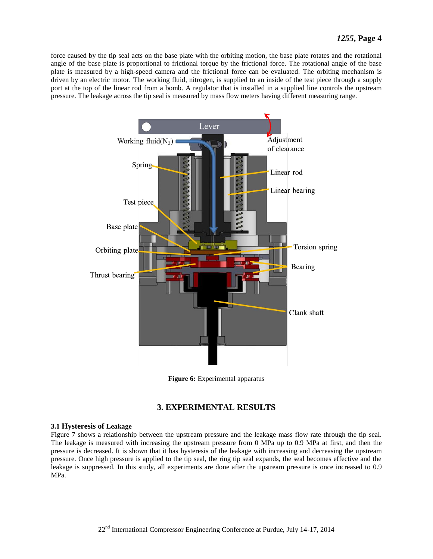force caused by the tip seal acts on the base plate with the orbiting motion, the base plate rotates and the rotational angle of the base plate is proportional to frictional torque by the frictional force. The rotational angle of the base plate is measured by a high-speed camera and the frictional force can be evaluated. The orbiting mechanism is driven by an electric motor. The working fluid, nitrogen, is supplied to an inside of the test piece through a supply port at the top of the linear rod from a bomb. A regulator that is installed in a supplied line controls the upstream pressure. The leakage across the tip seal is measured by mass flow meters having different measuring range.



**Figure 6:** Experimental apparatus

## **3. EXPERIMENTAL RESULTS**

## **3.1 Hysteresis of Leakage**

Figure 7 shows a relationship between the upstream pressure and the leakage mass flow rate through the tip seal. The leakage is measured with increasing the upstream pressure from 0 MPa up to 0.9 MPa at first, and then the pressure is decreased. It is shown that it has hysteresis of the leakage with increasing and decreasing the upstream pressure. Once high pressure is applied to the tip seal, the ring tip seal expands, the seal becomes effective and the leakage is suppressed. In this study, all experiments are done after the upstream pressure is once increased to 0.9 MPa.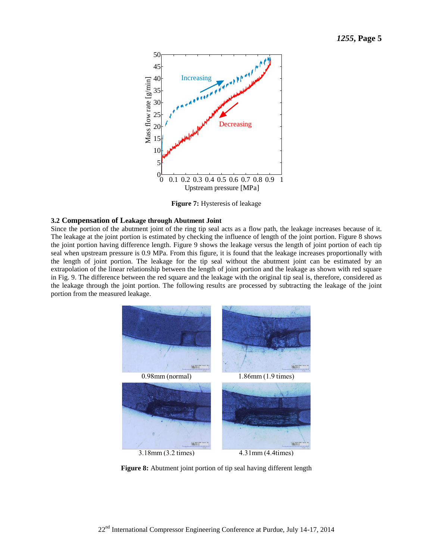

**Figure 7:** Hysteresis of leakage

#### **3.2 Compensation of Leakage through Abutment Joint**

Since the portion of the abutment joint of the ring tip seal acts as a flow path, the leakage increases because of it. The leakage at the joint portion is estimated by checking the influence of length of the joint portion. Figure 8 shows the joint portion having difference length. Figure 9 shows the leakage versus the length of joint portion of each tip seal when upstream pressure is 0.9 MPa. From this figure, it is found that the leakage increases proportionally with the length of joint portion. The leakage for the tip seal without the abutment joint can be estimated by an extrapolation of the linear relationship between the length of joint portion and the leakage as shown with red square in Fig. 9. The difference between the red square and the leakage with the original tip seal is, therefore, considered as the leakage through the joint portion. The following results are processed by subtracting the leakage of the joint portion from the measured leakage.



**Figure 8:** Abutment joint portion of tip seal having different length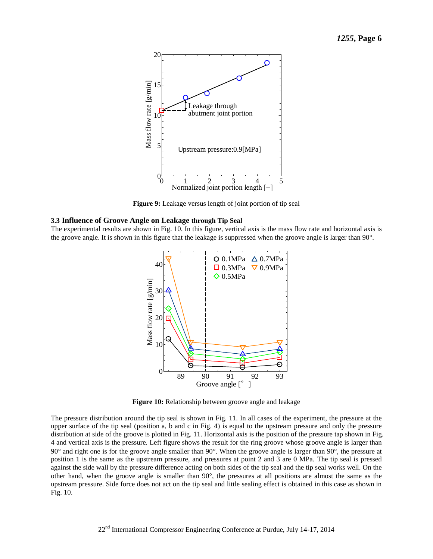

**Figure 9:** Leakage versus length of joint portion of tip seal

#### **3.3 Influence of Groove Angle on Leakage through Tip Seal**

The experimental results are shown in Fig. 10. In this figure, vertical axis is the mass flow rate and horizontal axis is the groove angle. It is shown in this figure that the leakage is suppressed when the groove angle is larger than 90<sup>o</sup>.



**Figure 10:** Relationship between groove angle and leakage

The pressure distribution around the tip seal is shown in Fig. 11. In all cases of the experiment, the pressure at the upper surface of the tip seal (position a, b and c in Fig. 4) is equal to the upstream pressure and only the pressure distribution at side of the groove is plotted in Fig. 11. Horizontal axis is the position of the pressure tap shown in Fig. 4 and vertical axis is the pressure. Left figure shows the result for the ring groove whose groove angle is larger than  $90^\circ$  and right one is for the groove angle smaller than  $90^\circ$ . When the groove angle is larger than  $90^\circ$ , the pressure at position 1 is the same as the upstream pressure, and pressures at point 2 and 3 are 0 MPa. The tip seal is pressed against the side wall by the pressure difference acting on both sides of the tip seal and the tip seal works well. On the other hand, when the groove angle is smaller than  $90^{\circ}$ , the pressures at all positions are almost the same as the upstream pressure. Side force does not act on the tip seal and little sealing effect is obtained in this case as shown in Fig. 10.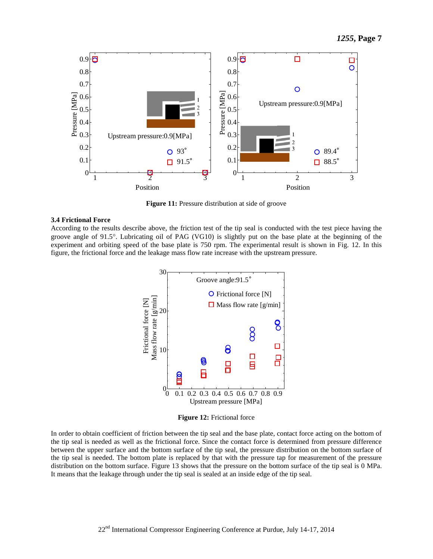

**Figure 11:** Pressure distribution at side of groove

#### **3.4 Frictional Force**

According to the results describe above, the friction test of the tip seal is conducted with the test piece having the groove angle of 91.5. Lubricating oil of PAG (VG10) is slightly put on the base plate at the beginning of the experiment and orbiting speed of the base plate is 750 rpm. The experimental result is shown in Fig. 12. In this figure, the frictional force and the leakage mass flow rate increase with the upstream pressure.



**Figure 12:** Frictional force

In order to obtain coefficient of friction between the tip seal and the base plate, contact force acting on the bottom of the tip seal is needed as well as the frictional force. Since the contact force is determined from pressure difference between the upper surface and the bottom surface of the tip seal, the pressure distribution on the bottom surface of the tip seal is needed. The bottom plate is replaced by that with the pressure tap for measurement of the pressure distribution on the bottom surface. Figure 13 shows that the pressure on the bottom surface of the tip seal is 0 MPa. It means that the leakage through under the tip seal is sealed at an inside edge of the tip seal.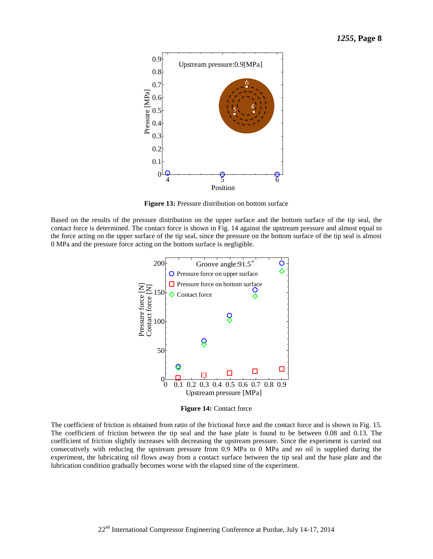

**Figure 13:** Pressure distribution on bottom surface

Based on the results of the pressure distribution on the upper surface and the bottom surface of the tip seal, the contact force is determined. The contact force is shown in Fig. 14 against the upstream pressure and almost equal to the force acting on the upper surface of the tip seal, since the pressure on the bottom surface of the tip seal is almost 0 MPa and the pressure force acting on the bottom surface is negligible.



**Figure 14:** Contact force

The coefficient of friction is obtained from ratio of the frictional force and the contact force and is shown in Fig. 15. The coefficient of friction between the tip seal and the base plate is found to be between 0.08 and 0.13. The coefficient of friction slightly increases with decreasing the upstream pressure. Since the experiment is carried out consecutively with reducing the upstream pressure from 0.9 MPa to 0 MPa and no oil is supplied during the experiment, the lubricating oil flows away from a contact surface between the tip seal and the base plate and the lubrication condition gradually becomes worse with the elapsed time of the experiment.